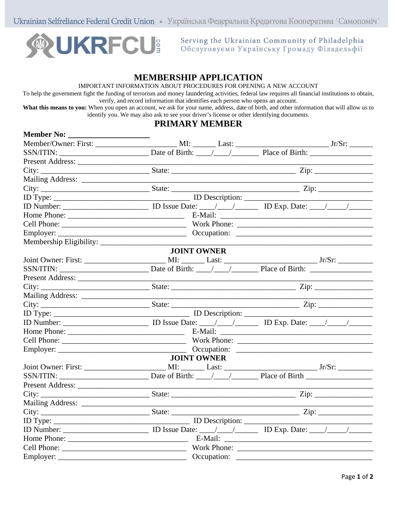Ukrainian Selfreliance Federal Credit Union • Українська Федеральна Кредитова Кооператива `Самопоміч`



Serving the Ukrainian Community of Philadelphia Обслуговуємо Українську Громаду Філадельфії

## **MEMBERSHIP APPLICATION**

IMPORTANT INFORMATION ABOUT PROCEDURES FOR OPENING A NEW ACCOUNT

To help the government fight the funding of terrorism and money laundering activities, federal law requires all financial institutions to obtain, verify, and record information that identifies each person who opens an account.

**What this means to you:** When you open an account, we ask for your name, address, date of birth, and other information that will allow us to identify you. We may also ask to see your driver's license or other identifying documents.

## **PRIMARY MEMBER**

| Date of Birth: $\angle$ / $\angle$ Place of Birth: $\angle$<br><b>JOINT OWNER</b><br>Present Address:<br><u> 1989 - Johann Barn, mars ann an t-Amhair an t-Amhair an t-Amhair an t-Amhair an t-Amhair an t-Amhair an t-Amh</u><br><b>JOINT OWNER</b><br>Present Address: | <b>Member No:</b> |  |  |  |  |
|--------------------------------------------------------------------------------------------------------------------------------------------------------------------------------------------------------------------------------------------------------------------------|-------------------|--|--|--|--|
|                                                                                                                                                                                                                                                                          |                   |  |  |  |  |
|                                                                                                                                                                                                                                                                          |                   |  |  |  |  |
|                                                                                                                                                                                                                                                                          |                   |  |  |  |  |
|                                                                                                                                                                                                                                                                          |                   |  |  |  |  |
|                                                                                                                                                                                                                                                                          |                   |  |  |  |  |
|                                                                                                                                                                                                                                                                          |                   |  |  |  |  |
|                                                                                                                                                                                                                                                                          |                   |  |  |  |  |
|                                                                                                                                                                                                                                                                          |                   |  |  |  |  |
|                                                                                                                                                                                                                                                                          |                   |  |  |  |  |
|                                                                                                                                                                                                                                                                          |                   |  |  |  |  |
|                                                                                                                                                                                                                                                                          |                   |  |  |  |  |
|                                                                                                                                                                                                                                                                          |                   |  |  |  |  |
|                                                                                                                                                                                                                                                                          |                   |  |  |  |  |
|                                                                                                                                                                                                                                                                          |                   |  |  |  |  |
|                                                                                                                                                                                                                                                                          |                   |  |  |  |  |
|                                                                                                                                                                                                                                                                          |                   |  |  |  |  |
|                                                                                                                                                                                                                                                                          |                   |  |  |  |  |
|                                                                                                                                                                                                                                                                          |                   |  |  |  |  |
|                                                                                                                                                                                                                                                                          |                   |  |  |  |  |
|                                                                                                                                                                                                                                                                          |                   |  |  |  |  |
|                                                                                                                                                                                                                                                                          |                   |  |  |  |  |
|                                                                                                                                                                                                                                                                          |                   |  |  |  |  |
|                                                                                                                                                                                                                                                                          |                   |  |  |  |  |
|                                                                                                                                                                                                                                                                          |                   |  |  |  |  |
|                                                                                                                                                                                                                                                                          |                   |  |  |  |  |
|                                                                                                                                                                                                                                                                          |                   |  |  |  |  |
|                                                                                                                                                                                                                                                                          |                   |  |  |  |  |
|                                                                                                                                                                                                                                                                          |                   |  |  |  |  |
|                                                                                                                                                                                                                                                                          |                   |  |  |  |  |
|                                                                                                                                                                                                                                                                          |                   |  |  |  |  |
|                                                                                                                                                                                                                                                                          |                   |  |  |  |  |
|                                                                                                                                                                                                                                                                          |                   |  |  |  |  |
|                                                                                                                                                                                                                                                                          |                   |  |  |  |  |
|                                                                                                                                                                                                                                                                          |                   |  |  |  |  |
|                                                                                                                                                                                                                                                                          |                   |  |  |  |  |
|                                                                                                                                                                                                                                                                          |                   |  |  |  |  |